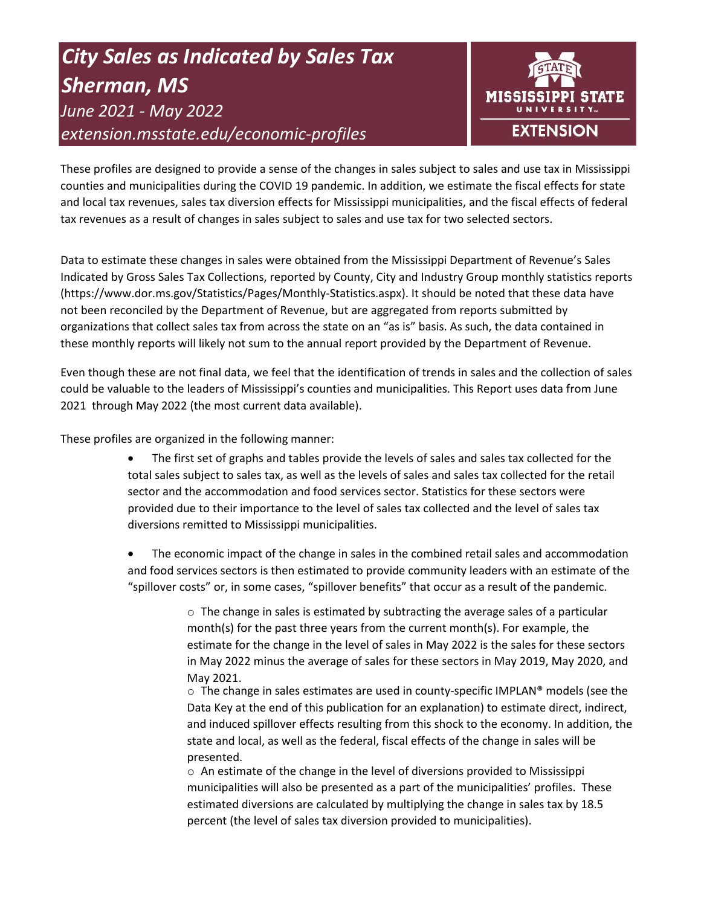# *City Sales as Indicated by Sales Tax Sherman, MS June 2021 - May 2022 extension.msstate.edu/economic-profiles*



These profiles are designed to provide a sense of the changes in sales subject to sales and use tax in Mississippi counties and municipalities during the COVID 19 pandemic. In addition, we estimate the fiscal effects for state and local tax revenues, sales tax diversion effects for Mississippi municipalities, and the fiscal effects of federal tax revenues as a result of changes in sales subject to sales and use tax for two selected sectors.

Data to estimate these changes in sales were obtained from the Mississippi Department of Revenue's Sales Indicated by Gross Sales Tax Collections, reported by County, City and Industry Group monthly statistics reports (https://www.dor.ms.gov/Statistics/Pages/Monthly-Statistics.aspx). It should be noted that these data have not been reconciled by the Department of Revenue, but are aggregated from reports submitted by organizations that collect sales tax from across the state on an "as is" basis. As such, the data contained in these monthly reports will likely not sum to the annual report provided by the Department of Revenue.

Even though these are not final data, we feel that the identification of trends in sales and the collection of sales could be valuable to the leaders of Mississippi's counties and municipalities. This Report uses data from June 2021 through May 2022 (the most current data available).

These profiles are organized in the following manner:

- The first set of graphs and tables provide the levels of sales and sales tax collected for the total sales subject to sales tax, as well as the levels of sales and sales tax collected for the retail sector and the accommodation and food services sector. Statistics for these sectors were provided due to their importance to the level of sales tax collected and the level of sales tax diversions remitted to Mississippi municipalities.
- The economic impact of the change in sales in the combined retail sales and accommodation and food services sectors is then estimated to provide community leaders with an estimate of the "spillover costs" or, in some cases, "spillover benefits" that occur as a result of the pandemic.

 $\circ$  The change in sales is estimated by subtracting the average sales of a particular month(s) for the past three years from the current month(s). For example, the estimate for the change in the level of sales in May 2022 is the sales for these sectors in May 2022 minus the average of sales for these sectors in May 2019, May 2020, and May 2021.

 $\circ$  The change in sales estimates are used in county-specific IMPLAN® models (see the Data Key at the end of this publication for an explanation) to estimate direct, indirect, and induced spillover effects resulting from this shock to the economy. In addition, the state and local, as well as the federal, fiscal effects of the change in sales will be presented.

 $\circ$  An estimate of the change in the level of diversions provided to Mississippi municipalities will also be presented as a part of the municipalities' profiles. These estimated diversions are calculated by multiplying the change in sales tax by 18.5 percent (the level of sales tax diversion provided to municipalities).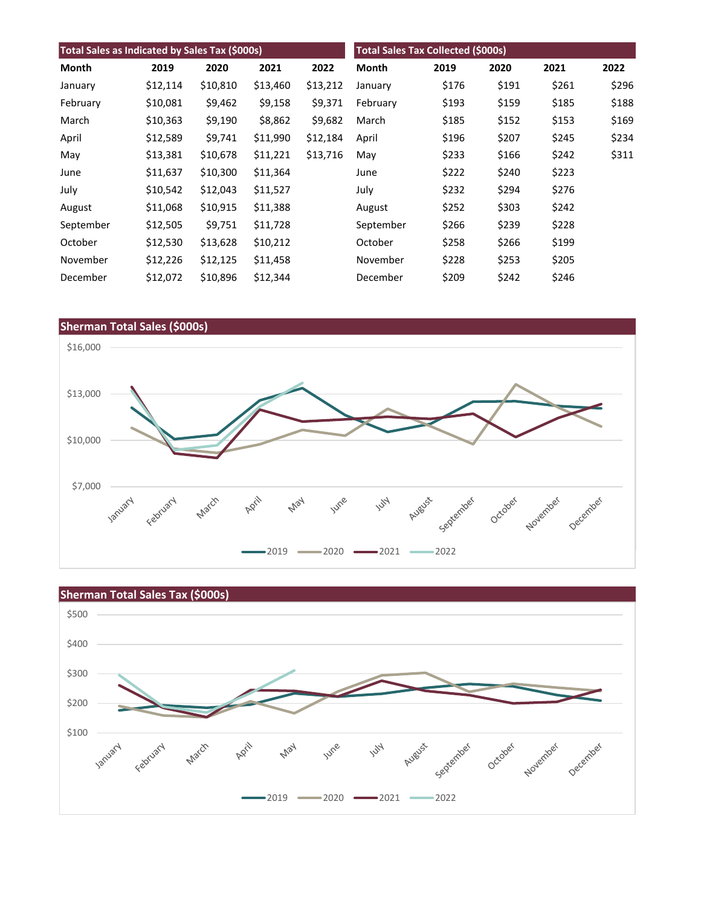| Total Sales as Indicated by Sales Tax (\$000s) |          |          |          | <b>Total Sales Tax Collected (\$000s)</b> |           |       |       |       |       |
|------------------------------------------------|----------|----------|----------|-------------------------------------------|-----------|-------|-------|-------|-------|
| Month                                          | 2019     | 2020     | 2021     | 2022                                      | Month     | 2019  | 2020  | 2021  | 2022  |
| January                                        | \$12,114 | \$10,810 | \$13,460 | \$13,212                                  | January   | \$176 | \$191 | \$261 | \$296 |
| February                                       | \$10,081 | \$9,462  | \$9,158  | \$9,371                                   | February  | \$193 | \$159 | \$185 | \$188 |
| March                                          | \$10,363 | \$9,190  | \$8,862  | \$9,682                                   | March     | \$185 | \$152 | \$153 | \$169 |
| April                                          | \$12,589 | \$9,741  | \$11,990 | \$12,184                                  | April     | \$196 | \$207 | \$245 | \$234 |
| May                                            | \$13,381 | \$10,678 | \$11,221 | \$13,716                                  | May       | \$233 | \$166 | \$242 | \$311 |
| June                                           | \$11,637 | \$10,300 | \$11,364 |                                           | June      | \$222 | \$240 | \$223 |       |
| July                                           | \$10,542 | \$12,043 | \$11,527 |                                           | July      | \$232 | \$294 | \$276 |       |
| August                                         | \$11,068 | \$10,915 | \$11,388 |                                           | August    | \$252 | \$303 | \$242 |       |
| September                                      | \$12,505 | \$9,751  | \$11,728 |                                           | September | \$266 | \$239 | \$228 |       |
| October                                        | \$12,530 | \$13,628 | \$10,212 |                                           | October   | \$258 | \$266 | \$199 |       |
| November                                       | \$12,226 | \$12,125 | \$11,458 |                                           | November  | \$228 | \$253 | \$205 |       |
| December                                       | \$12,072 | \$10,896 | \$12,344 |                                           | December  | \$209 | \$242 | \$246 |       |



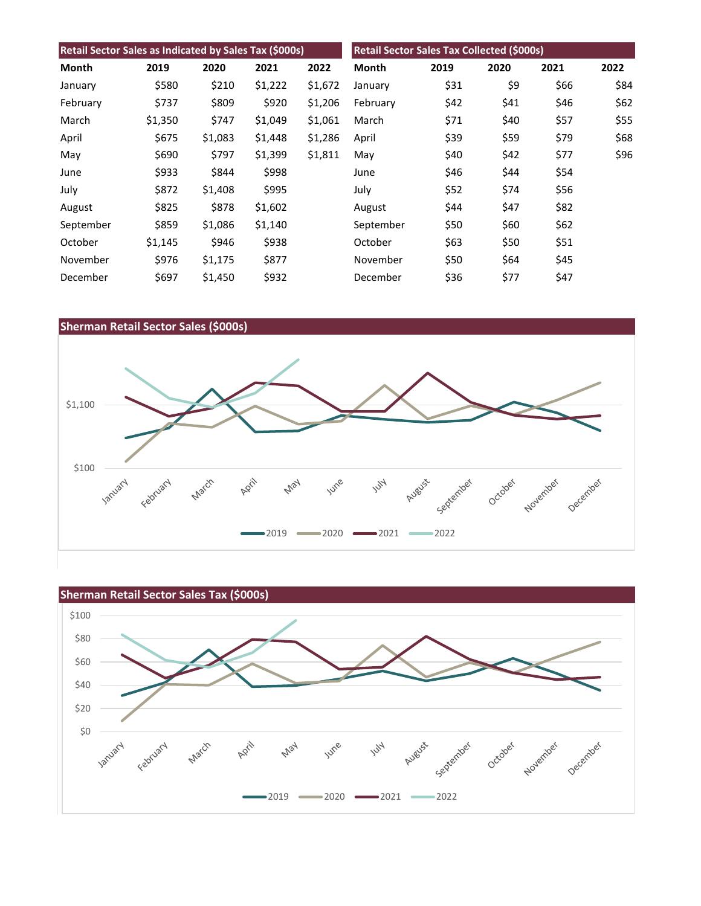| Retail Sector Sales as Indicated by Sales Tax (\$000s) |         |         |         |         | <b>Retail Sector Sales Tax Collected (\$000s)</b> |      |      |      |      |
|--------------------------------------------------------|---------|---------|---------|---------|---------------------------------------------------|------|------|------|------|
| Month                                                  | 2019    | 2020    | 2021    | 2022    | Month                                             | 2019 | 2020 | 2021 | 2022 |
| January                                                | \$580   | \$210   | \$1,222 | \$1,672 | January                                           | \$31 | \$9  | \$66 | \$84 |
| February                                               | \$737   | \$809   | \$920   | \$1,206 | February                                          | \$42 | \$41 | \$46 | \$62 |
| March                                                  | \$1,350 | \$747   | \$1,049 | \$1,061 | March                                             | \$71 | \$40 | \$57 | \$55 |
| April                                                  | \$675   | \$1,083 | \$1,448 | \$1,286 | April                                             | \$39 | \$59 | \$79 | \$68 |
| May                                                    | \$690   | \$797   | \$1,399 | \$1,811 | May                                               | \$40 | \$42 | \$77 | \$96 |
| June                                                   | \$933   | \$844   | \$998   |         | June                                              | \$46 | \$44 | \$54 |      |
| July                                                   | \$872   | \$1,408 | \$995   |         | July                                              | \$52 | \$74 | \$56 |      |
| August                                                 | \$825   | \$878   | \$1,602 |         | August                                            | \$44 | \$47 | \$82 |      |
| September                                              | \$859   | \$1,086 | \$1,140 |         | September                                         | \$50 | \$60 | \$62 |      |
| October                                                | \$1,145 | \$946   | \$938   |         | October                                           | \$63 | \$50 | \$51 |      |
| November                                               | \$976   | \$1,175 | \$877   |         | November                                          | \$50 | \$64 | \$45 |      |
| December                                               | \$697   | \$1,450 | \$932   |         | December                                          | \$36 | \$77 | \$47 |      |



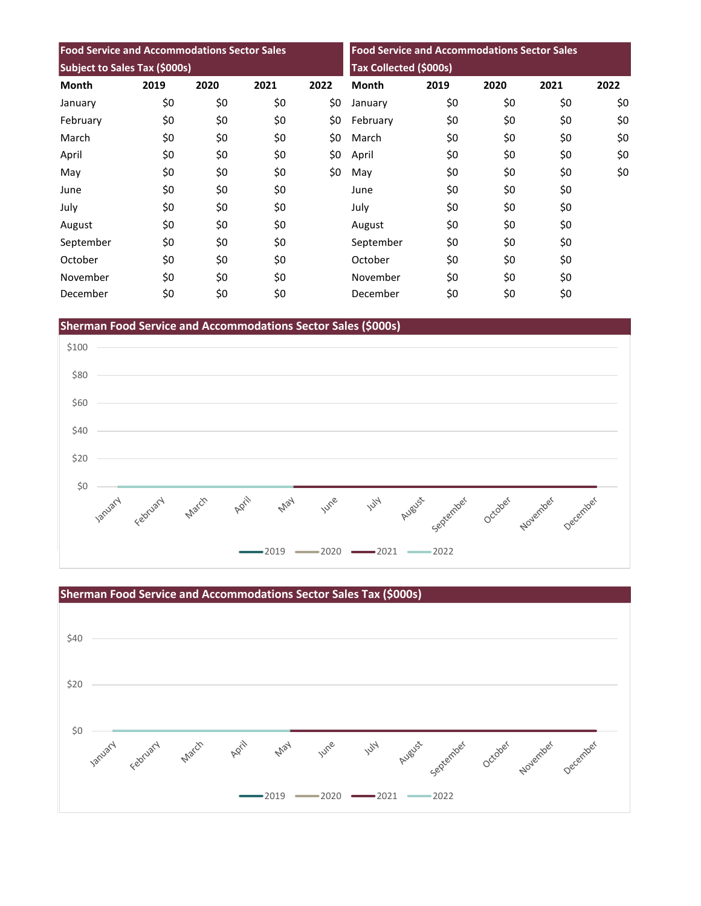| <b>Food Service and Accommodations Sector Sales</b> |      |      |      | <b>Food Service and Accommodations Sector Sales</b><br>Tax Collected (\$000s) |           |      |      |      |      |
|-----------------------------------------------------|------|------|------|-------------------------------------------------------------------------------|-----------|------|------|------|------|
| <b>Subject to Sales Tax (\$000s)</b>                |      |      |      |                                                                               |           |      |      |      |      |
| <b>Month</b>                                        | 2019 | 2020 | 2021 | 2022                                                                          | Month     | 2019 | 2020 | 2021 | 2022 |
| January                                             | \$0  | \$0  | \$0  | \$0                                                                           | January   | \$0  | \$0  | \$0  | \$0  |
| February                                            | \$0  | \$0  | \$0  | \$0                                                                           | February  | \$0  | \$0  | \$0  | \$0  |
| March                                               | \$0  | \$0  | \$0  | \$0                                                                           | March     | \$0  | \$0  | \$0  | \$0  |
| April                                               | \$0  | \$0  | \$0  | \$0                                                                           | April     | \$0  | \$0  | \$0  | \$0  |
| May                                                 | \$0  | \$0  | \$0  | \$0                                                                           | May       | \$0  | \$0  | \$0  | \$0  |
| June                                                | \$0  | \$0  | \$0  |                                                                               | June      | \$0  | \$0  | \$0  |      |
| July                                                | \$0  | \$0  | \$0  |                                                                               | July      | \$0  | \$0  | \$0  |      |
| August                                              | \$0  | \$0  | \$0  |                                                                               | August    | \$0  | \$0  | \$0  |      |
| September                                           | \$0  | \$0  | \$0  |                                                                               | September | \$0  | \$0  | \$0  |      |
| October                                             | \$0  | \$0  | \$0  |                                                                               | October   | \$0  | \$0  | \$0  |      |
| November                                            | \$0  | \$0  | \$0  |                                                                               | November  | \$0  | \$0  | \$0  |      |
| December                                            | \$0  | \$0  | \$0  |                                                                               | December  | \$0  | \$0  | \$0  |      |

**Sherman Food Service and Accommodations Sector Sales (\$000s)**



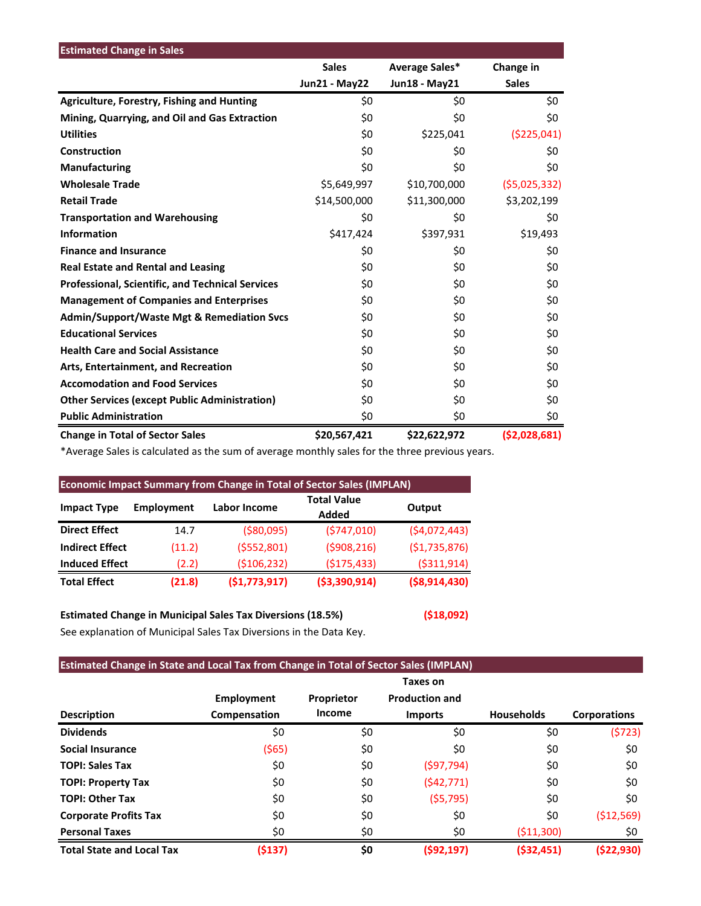| <b>Estimated Change in Sales</b>                        |                      |                |                |
|---------------------------------------------------------|----------------------|----------------|----------------|
|                                                         | <b>Sales</b>         | Average Sales* | Change in      |
|                                                         | <b>Jun21 - May22</b> | Jun18 - May21  | <b>Sales</b>   |
| <b>Agriculture, Forestry, Fishing and Hunting</b>       | \$0                  | \$0            | \$0            |
| Mining, Quarrying, and Oil and Gas Extraction           | \$0                  | \$0            | \$0            |
| <b>Utilities</b>                                        | \$0                  | \$225,041      | ( \$225,041)   |
| Construction                                            | \$0                  | \$0            | \$0            |
| <b>Manufacturing</b>                                    | \$0                  | \$0            | \$0            |
| <b>Wholesale Trade</b>                                  | \$5,649,997          | \$10,700,000   | (55,025,332)   |
| <b>Retail Trade</b>                                     | \$14,500,000         | \$11,300,000   | \$3,202,199    |
| <b>Transportation and Warehousing</b>                   | \$0                  | \$0            | \$0            |
| <b>Information</b>                                      | \$417,424            | \$397,931      | \$19,493       |
| <b>Finance and Insurance</b>                            | \$0                  | \$0            | \$0            |
| <b>Real Estate and Rental and Leasing</b>               | \$0                  | \$0            | \$0            |
| <b>Professional, Scientific, and Technical Services</b> | \$0                  | \$0            | \$0            |
| <b>Management of Companies and Enterprises</b>          | \$0                  | \$0            | \$0            |
| <b>Admin/Support/Waste Mgt &amp; Remediation Svcs</b>   | \$0                  | \$0            | \$0            |
| <b>Educational Services</b>                             | \$0                  | \$0            | \$0            |
| <b>Health Care and Social Assistance</b>                | \$0                  | \$0            | \$0            |
| Arts, Entertainment, and Recreation                     | \$0                  | \$0            | \$0            |
| <b>Accomodation and Food Services</b>                   | \$0                  | \$0            | \$0            |
| <b>Other Services (except Public Administration)</b>    | \$0                  | \$0            | \$0            |
| <b>Public Administration</b>                            | \$0                  | \$0            | \$0            |
| <b>Change in Total of Sector Sales</b>                  | \$20,567,421         | \$22,622,972   | ( \$2,028,681) |

\*Average Sales is calculated as the sum of average monthly sales for the three previous years.

| <b>Economic Impact Summary from Change in Total of Sector Sales (IMPLAN)</b> |                   |               |                             |                |  |  |  |  |
|------------------------------------------------------------------------------|-------------------|---------------|-----------------------------|----------------|--|--|--|--|
| <b>Impact Type</b>                                                           | <b>Employment</b> | Labor Income  | <b>Total Value</b><br>Added | Output         |  |  |  |  |
| <b>Direct Effect</b>                                                         | 14.7              | ( \$80,095)   | (5747,010)                  | (54,072,443)   |  |  |  |  |
| <b>Indirect Effect</b>                                                       | (11.2)            | (5552,801)    | ( \$908, 216)               | (51, 735, 876) |  |  |  |  |
| <b>Induced Effect</b>                                                        | (2.2)             | ( \$106, 232) | (\$175,433)                 | ( \$311, 914)  |  |  |  |  |
| <b>Total Effect</b>                                                          | (21.8)            | (51,773,917)  | ( \$3,390,914)              | ( \$8,914,430) |  |  |  |  |

**Estimated Change in Municipal Sales Tax Diversions (18.5%) (\$18,092)** See explanation of Municipal Sales Tax Diversions in the Data Key.

# **Estimated Change in State and Local Tax from Change in Total of Sector Sales (IMPLAN)**

|                                  |                                   |                             | Taxes on                                |                   |                     |
|----------------------------------|-----------------------------------|-----------------------------|-----------------------------------------|-------------------|---------------------|
| <b>Description</b>               | <b>Employment</b><br>Compensation | Proprietor<br><b>Income</b> | <b>Production and</b><br><b>Imports</b> | <b>Households</b> | <b>Corporations</b> |
| <b>Dividends</b>                 | \$0                               | \$0                         | \$0                                     | \$0               | (5723)              |
| <b>Social Insurance</b>          | (565)                             | \$0                         | \$0                                     | \$0               | \$0                 |
| <b>TOPI: Sales Tax</b>           | \$0                               | \$0                         | (597, 794)                              | \$0               | \$0                 |
| <b>TOPI: Property Tax</b>        | \$0                               | \$0                         | (542, 771)                              | \$0               | \$0                 |
| <b>TOPI: Other Tax</b>           | \$0                               | \$0                         | (55, 795)                               | \$0               | \$0                 |
| <b>Corporate Profits Tax</b>     | \$0                               | \$0                         | \$0                                     | \$0               | ( \$12,569)         |
| <b>Personal Taxes</b>            | \$0                               | \$0                         | \$0                                     | ( \$11,300)       | \$0                 |
| <b>Total State and Local Tax</b> | (\$137)                           | \$0                         | (592, 197)                              | $($ \$32,451)     | ( \$22, 930)        |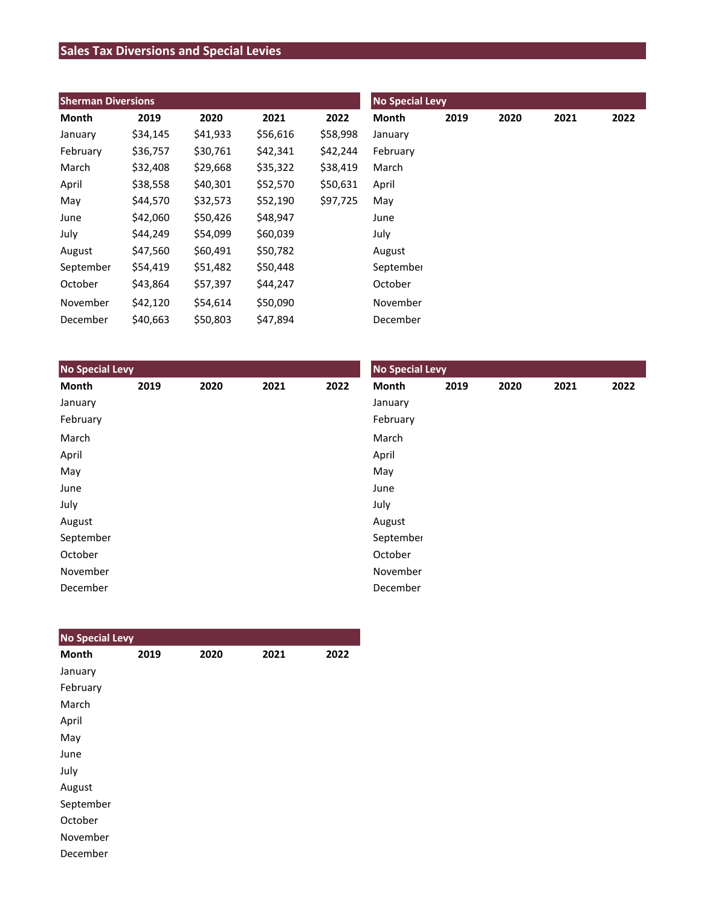# **Sales Tax Diversions and Special Levies**

| <b>Sherman Diversions</b> |          |          |          |          | <b>No Special Levy</b> |      |      |      |      |
|---------------------------|----------|----------|----------|----------|------------------------|------|------|------|------|
| Month                     | 2019     | 2020     | 2021     | 2022     | Month                  | 2019 | 2020 | 2021 | 2022 |
| January                   | \$34,145 | \$41,933 | \$56,616 | \$58,998 | January                |      |      |      |      |
| February                  | \$36,757 | \$30,761 | \$42,341 | \$42,244 | February               |      |      |      |      |
| March                     | \$32,408 | \$29,668 | \$35,322 | \$38,419 | March                  |      |      |      |      |
| April                     | \$38,558 | \$40,301 | \$52,570 | \$50,631 | April                  |      |      |      |      |
| May                       | \$44,570 | \$32,573 | \$52,190 | \$97,725 | May                    |      |      |      |      |
| June                      | \$42,060 | \$50,426 | \$48,947 |          | June                   |      |      |      |      |
| July                      | \$44,249 | \$54,099 | \$60,039 |          | July                   |      |      |      |      |
| August                    | \$47,560 | \$60,491 | \$50,782 |          | August                 |      |      |      |      |
| September                 | \$54,419 | \$51,482 | \$50,448 |          | September              |      |      |      |      |
| October                   | \$43,864 | \$57,397 | \$44,247 |          | October                |      |      |      |      |
| November                  | \$42,120 | \$54,614 | \$50,090 |          | November               |      |      |      |      |
| December                  | \$40,663 | \$50,803 | \$47,894 |          | December               |      |      |      |      |

| <b>No Special Levy</b> |      |      |      |      | <b>No Special Levy</b> |      |      |      |      |  |
|------------------------|------|------|------|------|------------------------|------|------|------|------|--|
| Month                  | 2019 | 2020 | 2021 | 2022 | Month                  | 2019 | 2020 | 2021 | 2022 |  |
| January                |      |      |      |      | January                |      |      |      |      |  |
| February               |      |      |      |      | February               |      |      |      |      |  |
| March                  |      |      |      |      | March                  |      |      |      |      |  |
| April                  |      |      |      |      | April                  |      |      |      |      |  |
| May                    |      |      |      |      | May                    |      |      |      |      |  |
| June                   |      |      |      |      | June                   |      |      |      |      |  |
| July                   |      |      |      |      | July                   |      |      |      |      |  |
| August                 |      |      |      |      | August                 |      |      |      |      |  |
| September              |      |      |      |      | September              |      |      |      |      |  |
| October                |      |      |      |      | October                |      |      |      |      |  |
| November               |      |      |      |      | November               |      |      |      |      |  |
| December               |      |      |      |      | December               |      |      |      |      |  |

| <b>No Special Levy</b> |      |      |      |      |
|------------------------|------|------|------|------|
| <b>Month</b>           | 2019 | 2020 | 2021 | 2022 |
| January                |      |      |      |      |
| February               |      |      |      |      |
| March                  |      |      |      |      |
| April                  |      |      |      |      |
| May                    |      |      |      |      |
| June                   |      |      |      |      |
| July                   |      |      |      |      |
| August                 |      |      |      |      |
| September              |      |      |      |      |
| October                |      |      |      |      |
| November               |      |      |      |      |
| December               |      |      |      |      |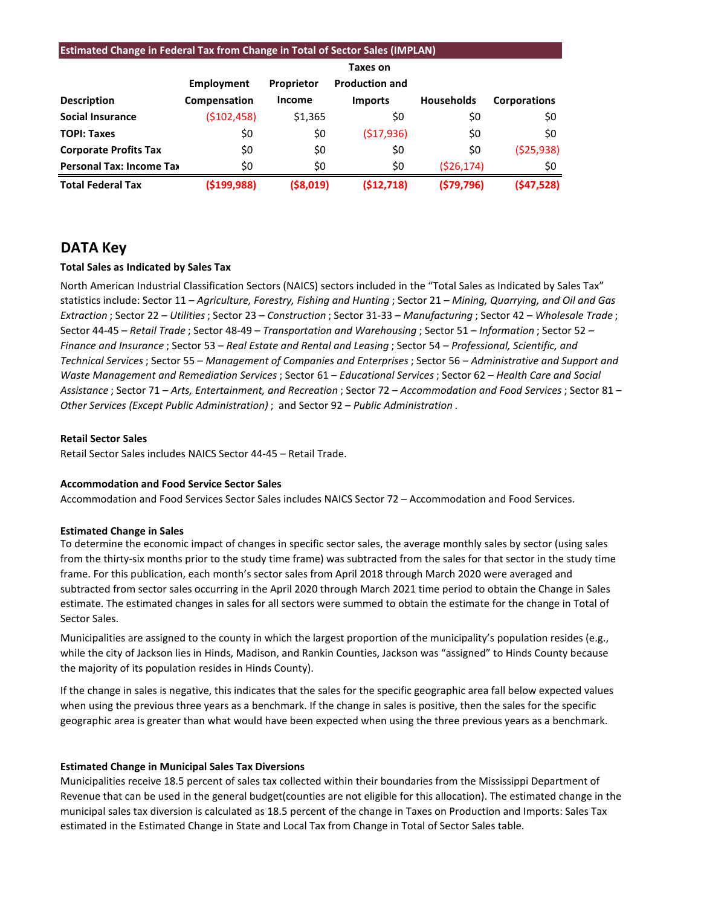| <b>Estimated Change in Federal Tax from Change in Total of Sector Sales (IMPLAN)</b> |               |                   |                       |                   |                     |  |  |  |
|--------------------------------------------------------------------------------------|---------------|-------------------|-----------------------|-------------------|---------------------|--|--|--|
|                                                                                      |               |                   | Taxes on              |                   |                     |  |  |  |
|                                                                                      | Employment    | <b>Proprietor</b> | <b>Production and</b> |                   |                     |  |  |  |
| <b>Description</b>                                                                   | Compensation  | Income            | <b>Imports</b>        | <b>Households</b> | <b>Corporations</b> |  |  |  |
| <b>Social Insurance</b>                                                              | ( \$102,458)  | \$1,365           | \$0                   | \$0               | \$0                 |  |  |  |
| <b>TOPI: Taxes</b>                                                                   | \$0           | \$0               | (517,936)             | \$0               | \$0                 |  |  |  |
| <b>Corporate Profits Tax</b>                                                         | \$0           | \$0               | \$0                   | \$0               | ( \$25, 938)        |  |  |  |
| <b>Personal Tax: Income Tax</b>                                                      | \$0           | \$0               | \$0                   | (526, 174)        | \$0                 |  |  |  |
| <b>Total Federal Tax</b>                                                             | ( \$199, 988) | ( \$8,019)        | (512, 718)            | (579, 796)        | (547,528)           |  |  |  |

# **DATA Key**

# **Total Sales as Indicated by Sales Tax**

North American Industrial Classification Sectors (NAICS) sectors included in the "Total Sales as Indicated by Sales Tax" statistics include: Sector 11 – *Agriculture, Forestry, Fishing and Hunting* ; Sector 21 – *Mining, Quarrying, and Oil and Gas Extraction* ; Sector 22 – *Utilities*; Sector 23 – *Construction* ; Sector 31-33 – *Manufacturing* ; Sector 42 – *Wholesale Trade* ; Sector 44-45 – *Retail Trade* ; Sector 48-49 – *Transportation and Warehousing* ; Sector 51 – *Information* ; Sector 52 – *Finance and Insurance* ; Sector 53 – *Real Estate and Rental and Leasing* ; Sector 54 – *Professional, Scientific, and Technical Services*; Sector 55 – *Management of Companies and Enterprises* ; Sector 56 – *Administrative and Support and Waste Management and Remediation Services* ; Sector 61 – *Educational Services*; Sector 62 – *Health Care and Social Assistance* ; Sector 71 – *Arts, Entertainment, and Recreation* ; Sector 72 – *Accommodation and Food Services* ; Sector 81 – *Other Services (Except Public Administration)* ; and Sector 92 – *Public Administration* .

### **Retail Sector Sales**

Retail Sector Sales includes NAICS Sector 44-45 – Retail Trade.

## **Accommodation and Food Service Sector Sales**

Accommodation and Food Services Sector Sales includes NAICS Sector 72 – Accommodation and Food Services.

## **Estimated Change in Sales**

To determine the economic impact of changes in specific sector sales, the average monthly sales by sector (using sales from the thirty-six months prior to the study time frame) was subtracted from the sales for that sector in the study time frame. For this publication, each month's sector sales from April 2018 through March 2020 were averaged and subtracted from sector sales occurring in the April 2020 through March 2021 time period to obtain the Change in Sales estimate. The estimated changes in sales for all sectors were summed to obtain the estimate for the change in Total of Sector Sales.

Municipalities are assigned to the county in which the largest proportion of the municipality's population resides (e.g., while the city of Jackson lies in Hinds, Madison, and Rankin Counties, Jackson was "assigned" to Hinds County because the majority of its population resides in Hinds County).

If the change in sales is negative, this indicates that the sales for the specific geographic area fall below expected values when using the previous three years as a benchmark. If the change in sales is positive, then the sales for the specific geographic area is greater than what would have been expected when using the three previous years as a benchmark.

## **Estimated Change in Municipal Sales Tax Diversions**

Municipalities receive 18.5 percent of sales tax collected within their boundaries from the Mississippi Department of Revenue that can be used in the general budget(counties are not eligible for this allocation). The estimated change in the municipal sales tax diversion is calculated as 18.5 percent of the change in Taxes on Production and Imports: Sales Tax estimated in the Estimated Change in State and Local Tax from Change in Total of Sector Sales table.